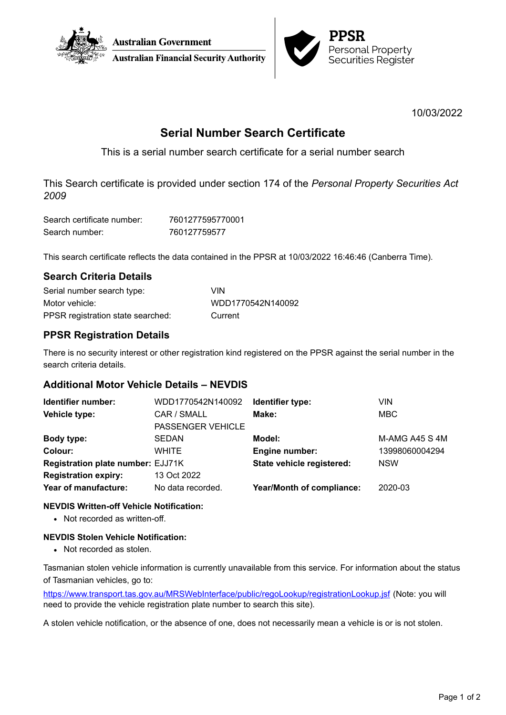



10/03/2022

# **Serial Number Search Certificate**

This is a serial number search certificate for a serial number search

This Search certificate is provided under section 174 of the *Personal Property Securities Act 2009*

| Search certificate number: | 7601277595770001 |
|----------------------------|------------------|
| Search number:             | 760127759577     |

This search certificate reflects the data contained in the PPSR at 10/03/2022 16:46:46 (Canberra Time).

## **Search Criteria Details**

| Serial number search type:        | VIN               |
|-----------------------------------|-------------------|
| Motor vehicle:                    | WDD1770542N140092 |
| PPSR registration state searched: | Current           |

## **PPSR Registration Details**

There is no security interest or other registration kind registered on the PPSR against the serial number in the search criteria details.

## **Additional Motor Vehicle Details – NEVDIS**

| Identifier number:                | WDD1770542N140092        | Identifier type:                 | VIN            |
|-----------------------------------|--------------------------|----------------------------------|----------------|
| Vehicle type:                     | CAR / SMALL              | Make:                            | <b>MBC</b>     |
|                                   | <b>PASSENGER VEHICLE</b> |                                  |                |
| Body type:                        | <b>SEDAN</b>             | Model:                           | M-AMG A45 S 4M |
| Colour:                           | <b>WHITE</b>             | Engine number:                   | 13998060004294 |
| Registration plate number: EJJ71K |                          | State vehicle registered:        | <b>NSW</b>     |
| <b>Registration expiry:</b>       | 13 Oct 2022              |                                  |                |
| Year of manufacture:              | No data recorded.        | <b>Year/Month of compliance:</b> | 2020-03        |

### **NEVDIS Written-off Vehicle Notification:**

• Not recorded as written-off.

### **NEVDIS Stolen Vehicle Notification:**

• Not recorded as stolen.

Tasmanian stolen vehicle information is currently unavailable from this service. For information about the status of Tasmanian vehicles, go to:

<https://www.transport.tas.gov.au/MRSWebInterface/public/regoLookup/registrationLookup.jsf> (Note: you will need to provide the vehicle registration plate number to search this site).

A stolen vehicle notification, or the absence of one, does not necessarily mean a vehicle is or is not stolen.